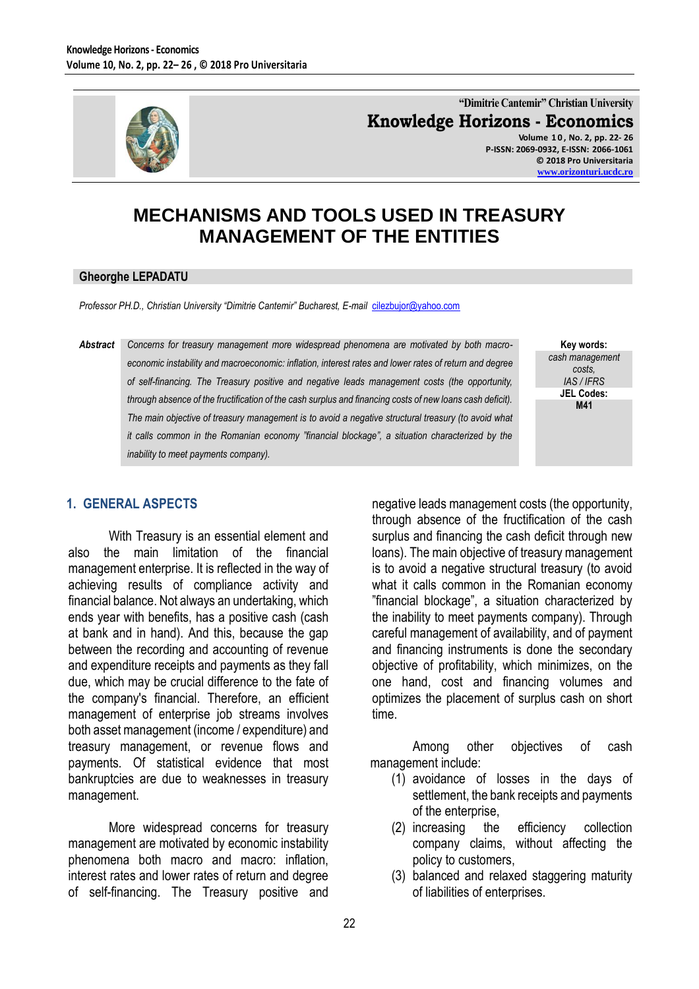

**"Dimitrie Cantemir" Christian University Knowledge Horizons - Economics Volume 1 0 , No. 2, pp. 22- 26**

**P-ISSN: 2069-0932, E-ISSN: 2066-1061 © 2018 Pro Universitaria [www.orizonturi.ucdc.ro](http://www.orizonturi.ucdc.ro/)**

# **MECHANISMS AND TOOLS USED IN TREASURY MANAGEMENT OF THE ENTITIES**

#### **Gheorghe LEPADATU**

*Professor PH.D., Christian University "Dimitrie Cantemir" Bucharest, E-mail* [cilezbujor@yahoo.com](mailto:cilezbujor@yahoo.com)

*Abstract Concerns for treasury management more widespread phenomena are motivated by both macroeconomic instability and macroeconomic: inflation, interest rates and lower rates of return and degree of self-financing. The Treasury positive and negative leads management costs (the opportunity, through absence of the fructification of the cash surplus and financing costs of new loans cash deficit). The main objective of treasury management is to avoid a negative structural treasury (to avoid what it calls common in the Romanian economy "financial blockage", a situation characterized by the inability to meet payments company).*

**Key words:** *cash management costs, IAS / IFRS* **JEL Codes: M41**

### **1. GENERAL ASPECTS**

With Treasury is an essential element and also the main limitation of the financial management enterprise. It is reflected in the way of achieving results of compliance activity and financial balance. Not always an undertaking, which ends year with benefits, has a positive cash (cash at bank and in hand). And this, because the gap between the recording and accounting of revenue and expenditure receipts and payments as they fall due, which may be crucial difference to the fate of the company's financial. Therefore, an efficient management of enterprise job streams involves both asset management (income / expenditure) and treasury management, or revenue flows and payments. Of statistical evidence that most bankruptcies are due to weaknesses in treasury management.

More widespread concerns for treasury management are motivated by economic instability phenomena both macro and macro: inflation, interest rates and lower rates of return and degree of self-financing. The Treasury positive and

negative leads management costs (the opportunity, through absence of the fructification of the cash surplus and financing the cash deficit through new loans). The main objective of treasury management is to avoid a negative structural treasury (to avoid what it calls common in the Romanian economy "financial blockage", a situation characterized by the inability to meet payments company). Through careful management of availability, and of payment and financing instruments is done the secondary objective of profitability, which minimizes, on the one hand, cost and financing volumes and optimizes the placement of surplus cash on short time.

Among other objectives of cash management include:

- (1) avoidance of losses in the days of settlement, the bank receipts and payments of the enterprise,
- (2) increasing the efficiency collection company claims, without affecting the policy to customers,
- (3) balanced and relaxed staggering maturity of liabilities of enterprises.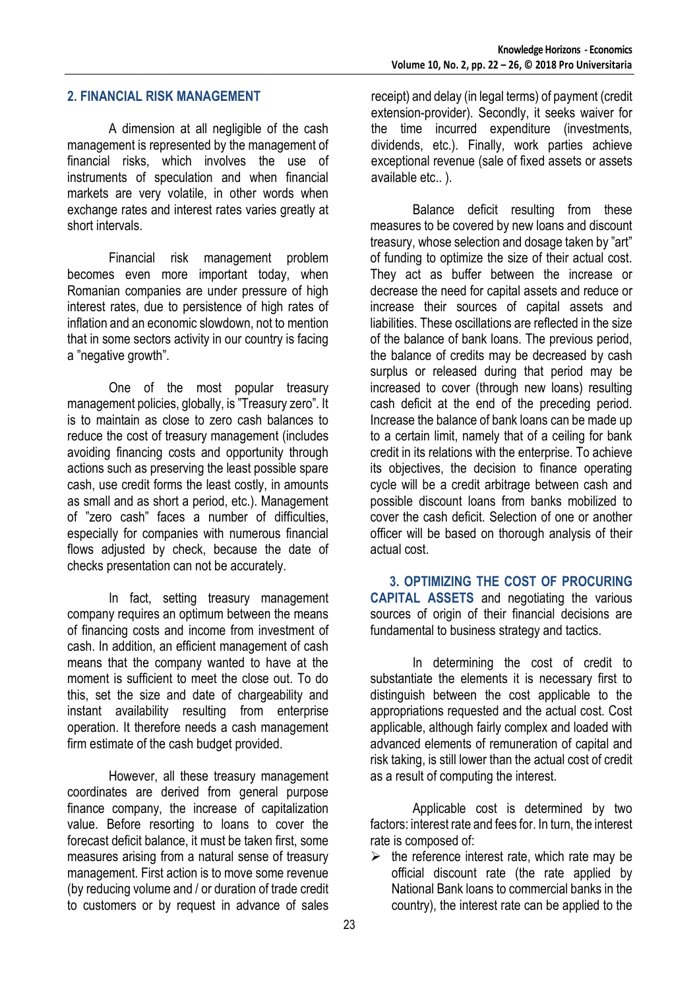### **2. FINANCIAL RISK MANAGEMENT**

A dimension at all negligible of the cash management is represented by the management of financial risks, which involves the use of instruments of speculation and when financial markets are very volatile, in other words when exchange rates and interest rates varies greatly at short intervals.

Financial risk management problem becomes even more important today, when Romanian companies are under pressure of high interest rates, due to persistence of high rates of inflation and an economic slowdown, not to mention that in some sectors activity in our country is facing a "negative growth".

One of the most popular treasury management policies, globally, is "Treasury zero". It is to maintain as close to zero cash balances to reduce the cost of treasury management (includes avoiding financing costs and opportunity through actions such as preserving the least possible spare cash, use credit forms the least costly, in amounts as small and as short a period, etc.). Management of "zero cash" faces a number of difficulties, especially for companies with numerous financial flows adjusted by check, because the date of checks presentation can not be accurately.

In fact, setting treasury management company requires an optimum between the means of financing costs and income from investment of cash. In addition, an efficient management of cash means that the company wanted to have at the moment is sufficient to meet the close out. To do this, set the size and date of chargeability and instant availability resulting from enterprise operation. It therefore needs a cash management firm estimate of the cash budget provided.

However, all these treasury management coordinates are derived from general purpose finance company, the increase of capitalization value. Before resorting to loans to cover the forecast deficit balance, it must be taken first, some measures arising from a natural sense of treasury management. First action is to move some revenue (by reducing volume and / or duration of trade credit to customers or by request in advance of sales

receipt) and delay (in legal terms) of payment (credit extension-provider). Secondly, it seeks waiver for the time incurred expenditure (investments, dividends, etc.). Finally, work parties achieve exceptional revenue (sale of fixed assets or assets available etc.. ).

Balance deficit resulting from these measures to be covered by new loans and discount treasury, whose selection and dosage taken by "art" of funding to optimize the size of their actual cost. They act as buffer between the increase or decrease the need for capital assets and reduce or increase their sources of capital assets and liabilities. These oscillations are reflected in the size of the balance of bank loans. The previous period, the balance of credits may be decreased by cash surplus or released during that period may be increased to cover (through new loans) resulting cash deficit at the end of the preceding period. Increase the balance of bank loans can be made up to a certain limit, namely that of a ceiling for bank credit in its relations with the enterprise. To achieve its objectives, the decision to finance operating cycle will be a credit arbitrage between cash and possible discount loans from banks mobilized to cover the cash deficit. Selection of one or another officer will be based on thorough analysis of their actual cost.

 **3. OPTIMIZING THE COST OF PROCURING CAPITAL ASSETS** and negotiating the various sources of origin of their financial decisions are fundamental to business strategy and tactics.

In determining the cost of credit to substantiate the elements it is necessary first to distinguish between the cost applicable to the appropriations requested and the actual cost. Cost applicable, although fairly complex and loaded with advanced elements of remuneration of capital and risk taking, is still lower than the actual cost of credit as a result of computing the interest.

Applicable cost is determined by two factors: interest rate and fees for. In turn, the interest rate is composed of:

 $\triangleright$  the reference interest rate, which rate may be official discount rate (the rate applied by National Bank loans to commercial banks in the country), the interest rate can be applied to the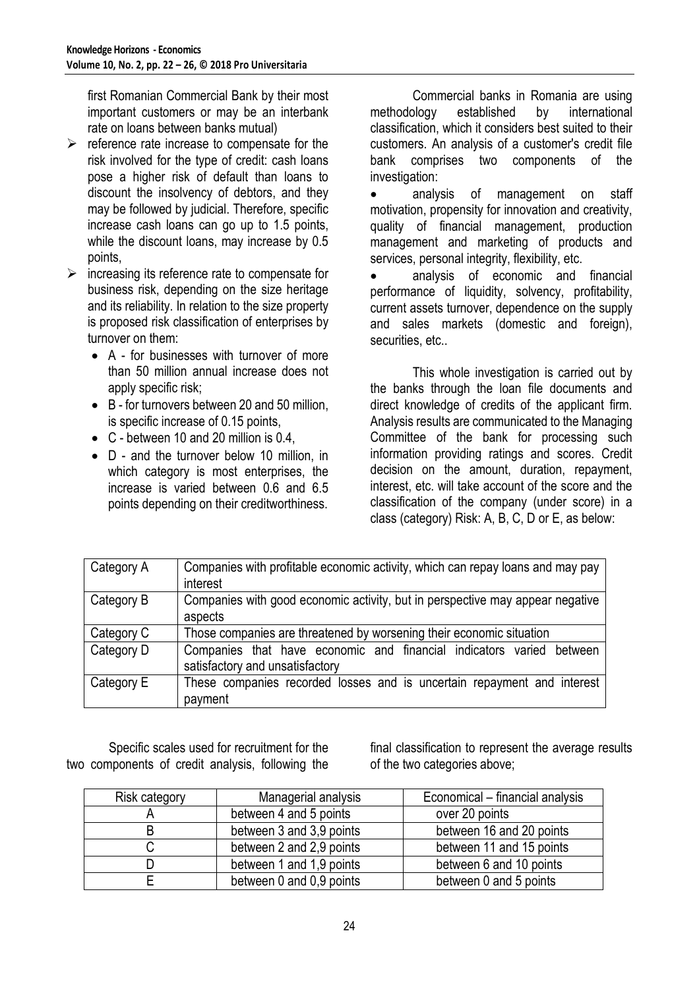first Romanian Commercial Bank by their most important customers or may be an interbank rate on loans between banks mutual)

- $\triangleright$  reference rate increase to compensate for the risk involved for the type of credit: cash loans pose a higher risk of default than loans to discount the insolvency of debtors, and they may be followed by judicial. Therefore, specific increase cash loans can go up to 1.5 points, while the discount loans, may increase by 0.5 points,
- $\triangleright$  increasing its reference rate to compensate for business risk, depending on the size heritage and its reliability. In relation to the size property is proposed risk classification of enterprises by turnover on them:
	- A for businesses with turnover of more than 50 million annual increase does not apply specific risk;
	- B for turnovers between 20 and 50 million, is specific increase of 0.15 points,
	- C between 10 and 20 million is 0.4,
	- D and the turnover below 10 million, in which category is most enterprises, the increase is varied between 0.6 and 6.5 points depending on their creditworthiness.

Commercial banks in Romania are using methodology established by international classification, which it considers best suited to their customers. An analysis of a customer's credit file bank comprises two components of the investigation:

 analysis of management on staff motivation, propensity for innovation and creativity, quality of financial management, production management and marketing of products and services, personal integrity, flexibility, etc.

 analysis of economic and financial performance of liquidity, solvency, profitability, current assets turnover, dependence on the supply and sales markets (domestic and foreign), securities, etc..

This whole investigation is carried out by the banks through the loan file documents and direct knowledge of credits of the applicant firm. Analysis results are communicated to the Managing Committee of the bank for processing such information providing ratings and scores. Credit decision on the amount, duration, repayment, interest, etc. will take account of the score and the classification of the company (under score) in a class (category) Risk: A, B, C, D or E, as below:

| Category A | Companies with profitable economic activity, which can repay loans and may pay<br>interest              |
|------------|---------------------------------------------------------------------------------------------------------|
| Category B | Companies with good economic activity, but in perspective may appear negative<br>aspects                |
| Category C | Those companies are threatened by worsening their economic situation                                    |
| Category D | Companies that have economic and financial indicators varied between<br>satisfactory and unsatisfactory |
| Category E | These companies recorded losses and is uncertain repayment and interest<br>payment                      |

Specific scales used for recruitment for the two components of credit analysis, following the

final classification to represent the average results of the two categories above;

| <b>Risk category</b> | Managerial analysis      | Economical – financial analysis |  |
|----------------------|--------------------------|---------------------------------|--|
|                      | between 4 and 5 points   | over 20 points                  |  |
|                      | between 3 and 3,9 points | between 16 and 20 points        |  |
|                      | between 2 and 2,9 points | between 11 and 15 points        |  |
|                      | between 1 and 1,9 points | between 6 and 10 points         |  |
|                      | between 0 and 0,9 points | between 0 and 5 points          |  |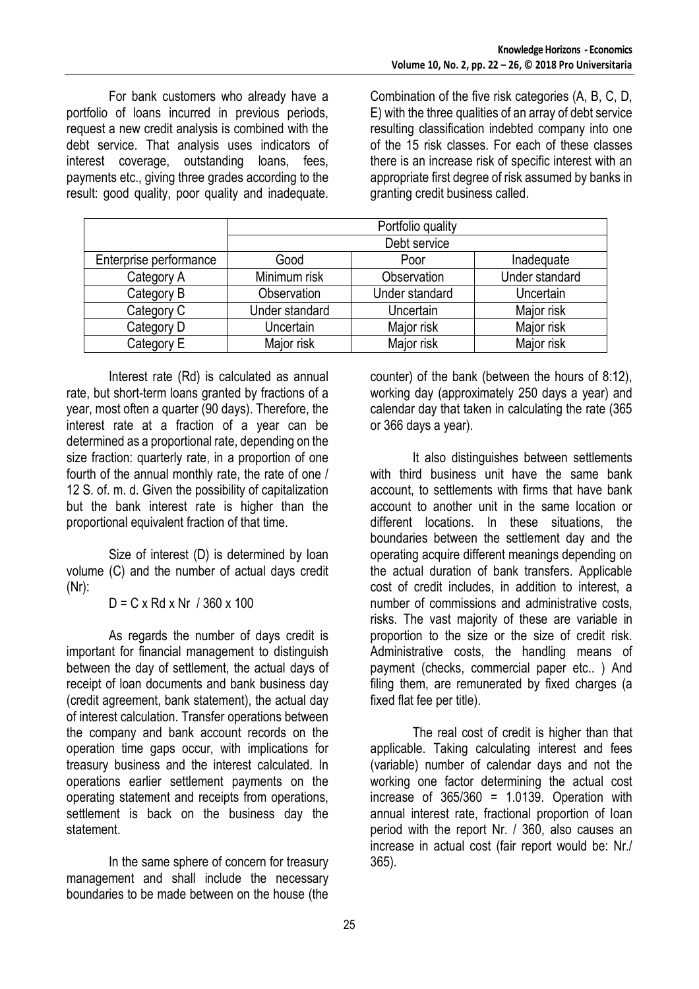For bank customers who already have a portfolio of loans incurred in previous periods, request a new credit analysis is combined with the debt service. That analysis uses indicators of interest coverage, outstanding loans, fees, payments etc., giving three grades according to the result: good quality, poor quality and inadequate.

Combination of the five risk categories (A, B, C, D, E) with the three qualities of an array of debt service resulting classification indebted company into one of the 15 risk classes. For each of these classes there is an increase risk of specific interest with an appropriate first degree of risk assumed by banks in granting credit business called.

|                        | Portfolio quality |                |                |  |
|------------------------|-------------------|----------------|----------------|--|
|                        | Debt service      |                |                |  |
| Enterprise performance | Good              | Poor           | Inadequate     |  |
| Category A             | Minimum risk      | Observation    | Under standard |  |
| Category B             | Observation       | Under standard | Uncertain      |  |
| Category C             | Under standard    | Uncertain      | Major risk     |  |
| Category D             | Uncertain         | Major risk     | Major risk     |  |
| Category E             | Major risk        | Major risk     | Major risk     |  |

Interest rate (Rd) is calculated as annual rate, but short-term loans granted by fractions of a year, most often a quarter (90 days). Therefore, the interest rate at a fraction of a year can be determined as a proportional rate, depending on the size fraction: quarterly rate, in a proportion of one fourth of the annual monthly rate, the rate of one / 12 S. of. m. d. Given the possibility of capitalization but the bank interest rate is higher than the proportional equivalent fraction of that time.

Size of interest (D) is determined by loan volume (C) and the number of actual days credit (Nr):

 $D = C x Rd x Nr / 360 x 100$ 

As regards the number of days credit is important for financial management to distinguish between the day of settlement, the actual days of receipt of loan documents and bank business day (credit agreement, bank statement), the actual day of interest calculation. Transfer operations between the company and bank account records on the operation time gaps occur, with implications for treasury business and the interest calculated. In operations earlier settlement payments on the operating statement and receipts from operations, settlement is back on the business day the statement.

In the same sphere of concern for treasury management and shall include the necessary boundaries to be made between on the house (the counter) of the bank (between the hours of 8:12), working day (approximately 250 days a year) and calendar day that taken in calculating the rate (365 or 366 days a year).

It also distinguishes between settlements with third business unit have the same bank account, to settlements with firms that have bank account to another unit in the same location or different locations. In these situations, the boundaries between the settlement day and the operating acquire different meanings depending on the actual duration of bank transfers. Applicable cost of credit includes, in addition to interest, a number of commissions and administrative costs, risks. The vast majority of these are variable in proportion to the size or the size of credit risk. Administrative costs, the handling means of payment (checks, commercial paper etc.. ) And filing them, are remunerated by fixed charges (a fixed flat fee per title).

The real cost of credit is higher than that applicable. Taking calculating interest and fees (variable) number of calendar days and not the working one factor determining the actual cost increase of  $365/360 = 1.0139$ . Operation with annual interest rate, fractional proportion of loan period with the report Nr. / 360, also causes an increase in actual cost (fair report would be: Nr./ 365).